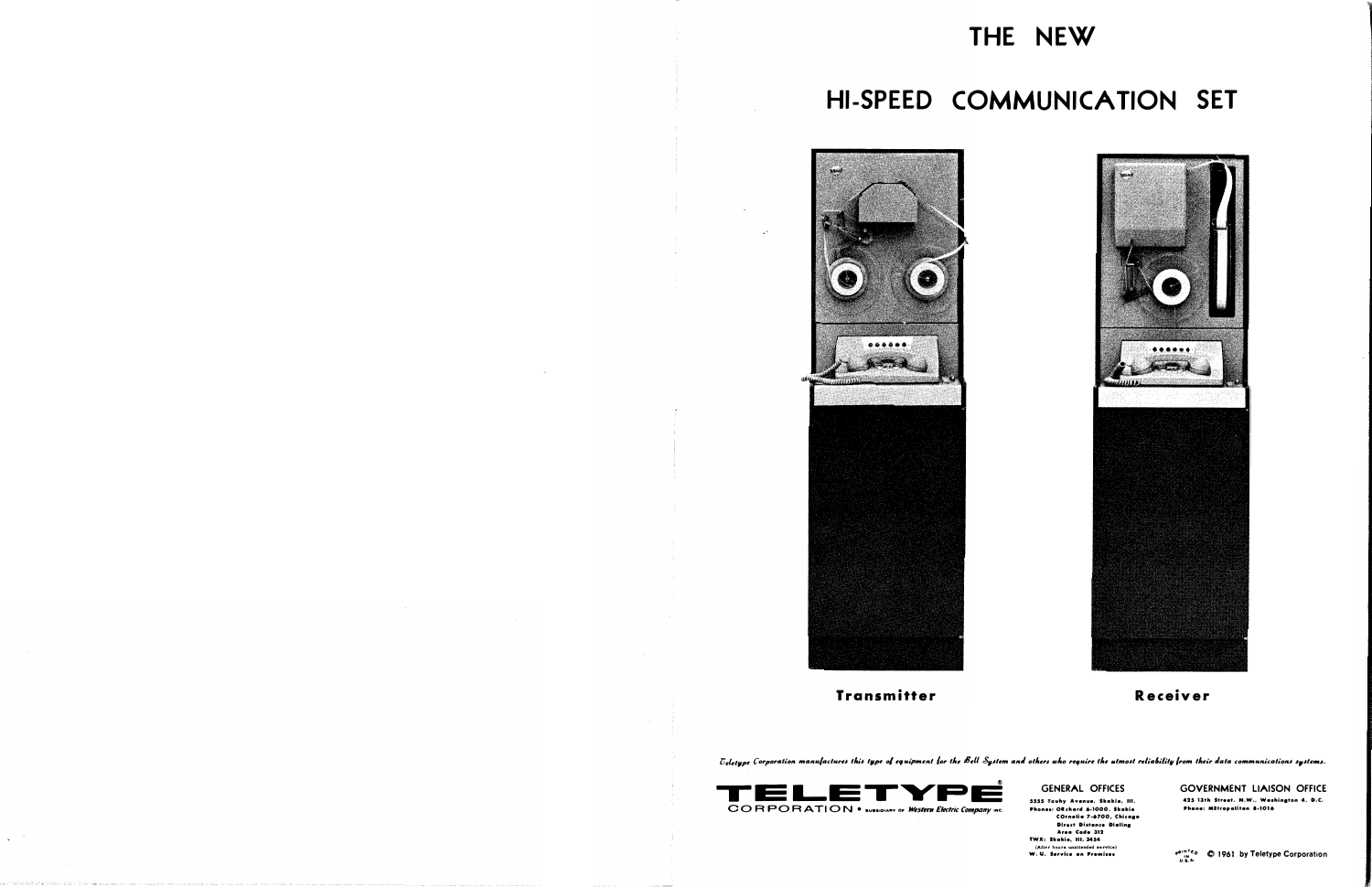## THE NEW

## HI-SPEED COMMUNICATION SET



**Transmitter** 



Receiver

Ueletype Corporation manufactures this type of equipment for the Bell System and others who require the utmost reliability from their data communications systems.



## **GENERAL OFFICES**

5555 Touhy Avenue, Skokie, III. Phones: Okchard 6-1000, Skokie<br>COrnelia 7-6700, Chicago **Direct Distonce Dialing** Area Code 312 TWX: Skokie, III. 3454<br>(After hours unattended service)<br>W. U. Service on Premises

**GOVERNMENT LIAISON OFFICE** 425 13th Street, N.W., Washington 4, D.C. Phone: Mitropolitan 8-1016